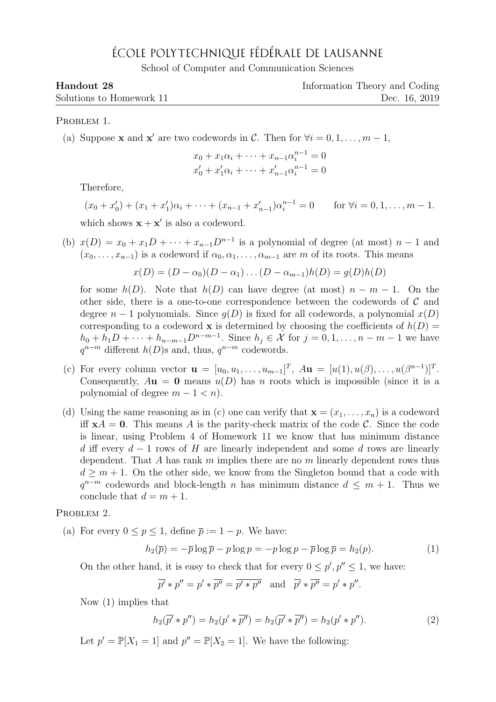## ÉCOLE POLYTECHNIQUE FÉDÉRALE DE LAUSANNE

School of Computer and Communication Sciences

| Handout 28               | Information Theory and Coding |
|--------------------------|-------------------------------|
| Solutions to Homework 11 | Dec. 16, 2019                 |

PROBLEM 1.

(a) Suppose **x** and **x'** are two codewords in C. Then for  $\forall i = 0, 1, ..., m - 1$ ,

$$
x_0 + x_1 \alpha_i + \dots + x_{n-1} \alpha_i^{n-1} = 0
$$
  

$$
x'_0 + x'_1 \alpha_i + \dots + x'_{n-1} \alpha_i^{n-1} = 0
$$

Therefore,

$$
(x_0 + x'_0) + (x_1 + x'_1)\alpha_i + \dots + (x_{n-1} + x'_{n-1})\alpha_i^{n-1} = 0 \quad \text{for } \forall i = 0, 1, \dots, m-1.
$$

which shows  $\mathbf{x} + \mathbf{x}'$  is also a codeword.

(b)  $x(D) = x_0 + x_1D + \cdots + x_{n-1}D^{n-1}$  is a polynomial of degree (at most)  $n-1$  and  $(x_0, \ldots, x_{n-1})$  is a codeword if  $\alpha_0, \alpha_1, \ldots, \alpha_{m-1}$  are m of its roots. This means

$$
x(D) = (D - \alpha_0)(D - \alpha_1) \dots (D - \alpha_{m-1})h(D) = g(D)h(D)
$$

for some  $h(D)$ . Note that  $h(D)$  can have degree (at most)  $n - m - 1$ . On the other side, there is a one-to-one correspondence between the codewords of  $\mathcal C$  and degree  $n-1$  polynomials. Since  $g(D)$  is fixed for all codewords, a polynomial  $x(D)$ corresponding to a codeword **x** is determined by choosing the coefficients of  $h(D)$  =  $h_0 + h_1 D + \cdots + h_{n-m-1} D^{n-m-1}$ . Since  $h_j \in \mathcal{X}$  for  $j = 0, 1, \ldots, n-m-1$  we have  $q^{n-m}$  different  $h(D)$ s and, thus,  $q^{n-m}$  codewords.

- (c) For every column vector  $\mathbf{u} = [u_0, u_1, \dots, u_{m-1}]^T$ ,  $A\mathbf{u} = [u(1), u(\beta), \dots, u(\beta^{n-1})]^T$ . Consequently,  $A$ **u** = 0 means  $u(D)$  has n roots which is impossible (since it is a polynomial of degree  $m - 1 < n$ ).
- (d) Using the same reasoning as in (c) one can verify that  $\mathbf{x} = (x_1, \ldots, x_n)$  is a codeword iff  $xA = 0$ . This means A is the parity-check matrix of the code C. Since the code is linear, using Problem 4 of Homework 11 we know that has minimum distance d iff every  $d-1$  rows of H are linearly independent and some d rows are linearly dependent. That A has rank  $m$  implies there are no  $m$  linearly dependent rows thus  $d \geq m+1$ . On the other side, we know from the Singleton bound that a code with  $q^{n-m}$  codewords and block-length n has minimum distance  $d \leq m+1$ . Thus we conclude that  $d = m + 1$ .

PROBLEM 2.

(a) For every  $0 \le p \le 1$ , define  $\overline{p} := 1 - p$ . We have:

$$
h_2(\overline{p}) = -\overline{p} \log \overline{p} - p \log p = -p \log p - \overline{p} \log \overline{p} = h_2(p). \tag{1}
$$

On the other hand, it is easy to check that for every  $0 \le p', p'' \le 1$ , we have:

$$
\overline{p'} * p'' = p' * \overline{p''} = \overline{p' * p''}
$$
 and  $\overline{p'} * \overline{p''} = p' * p''$ .

Now (1) implies that

$$
h_2(\overline{p'} * p'') = h_2(p' * \overline{p''}) = h_2(\overline{p'} * \overline{p''}) = h_2(p' * p'').
$$
\n(2)

Let  $p' = \mathbb{P}[X_1 = 1]$  and  $p'' = \mathbb{P}[X_2 = 1]$ . We have the following: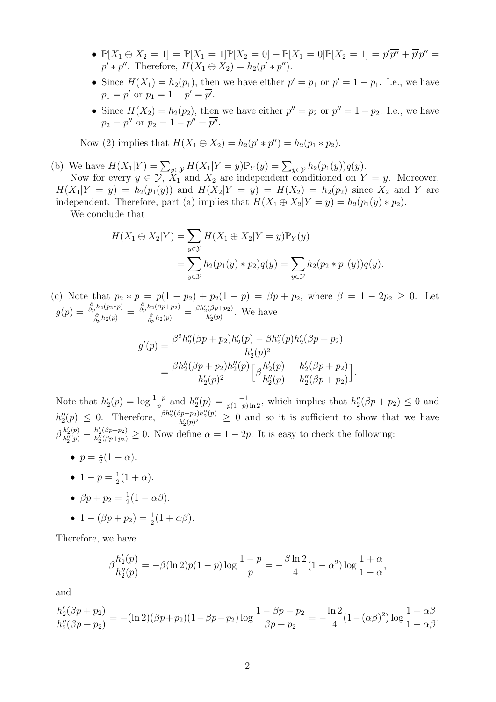- $\mathbb{P}[X_1 \oplus X_2 = 1] = \mathbb{P}[X_1 = 1] \mathbb{P}[X_2 = 0] + \mathbb{P}[X_1 = 0] \mathbb{P}[X_2 = 1] = p' \overline{p''} + \overline{p'} p'' =$  $p' * p''$ . Therefore,  $H(X_1 \oplus X_2) = h_2(p' * p'')$ .
- Since  $H(X_1) = h_2(p_1)$ , then we have either  $p' = p_1$  or  $p' = 1 p_1$ . I.e., we have  $p_1 = p'$  or  $p_1 = 1 - p' = \overline{p'}.$
- Since  $H(X_2) = h_2(p_2)$ , then we have either  $p'' = p_2$  or  $p'' = 1 p_2$ . I.e., we have  $p_2 = p''$  or  $p_2 = 1 - p'' = \overline{p''}$ .

Now (2) implies that  $H(X_1 \oplus X_2) = h_2(p' * p'') = h_2(p_1 * p_2)$ .

(b) We have  $H(X_1|Y) = \sum_{y \in Y} H(X_1|Y = y) \mathbb{P}_Y(y) = \sum_{y \in Y} h_2(p_1(y))q(y)$ .

Now for every  $y \in \mathcal{Y}, X_1$  and  $X_2$  are independent conditioned on  $Y = y$ . Moreover,  $H(X_1|Y = y) = h_2(p_1(y))$  and  $H(X_2|Y = y) = H(X_2) = h_2(p_2)$  since  $X_2$  and Y are independent. Therefore, part (a) implies that  $H(X_1 \oplus X_2 | Y = y) = h_2(p_1(y) * p_2)$ .

We conclude that

$$
H(X_1 \oplus X_2 | Y) = \sum_{y \in \mathcal{Y}} H(X_1 \oplus X_2 | Y = y) \mathbb{P}_Y(y)
$$
  
= 
$$
\sum_{y \in \mathcal{Y}} h_2(p_1(y) * p_2) q(y) = \sum_{y \in \mathcal{Y}} h_2(p_2 * p_1(y)) q(y).
$$

(c) Note that  $p_2 * p = p(1 - p_2) + p_2(1 - p) = \beta p + p_2$ , where  $\beta = 1 - 2p_2 \ge 0$ . Let  $g(p)=\frac{\frac{\partial}{\partial p}h_2(p_2*p)}{\frac{\partial}{\partial p}h_2(p)}=\frac{\frac{\partial}{\partial p}h_2(\beta p+p_2)}{\frac{\partial}{\partial p}h_2(p)}=\frac{\beta h_2'(\beta p+p_2)}{h_2'(p)}$  $\frac{h_2(p+p_2)}{h_2'(p)}$ . We have

$$
g'(p) = \frac{\beta^2 h_2''(\beta p + p_2) h_2'(p) - \beta h_2''(p) h_2'(\beta p + p_2)}{h_2'(p)^2}
$$
  
= 
$$
\frac{\beta h_2''(\beta p + p_2) h_2''(p)}{h_2'(p)^2} \Big[ \beta \frac{h_2'(p)}{h_2''(p)} - \frac{h_2'(\beta p + p_2)}{h_2''(\beta p + p_2)} \Big]
$$

.

Note that  $h'_2(p) = \log \frac{1-p}{p}$  and  $h''_2(p) = \frac{-1}{p(1-p)\ln 2}$ , which implies that  $h''_2(\beta p + p_2) \leq 0$  and  $h''_2(p) \leq 0$ . Therefore,  $\frac{\beta h''_2(\beta p+p_2)h''_2(p)}{h'_2(p)^2}$  $\frac{(p+p_2)n_2(p)}{h'_2(p)^2} \geq 0$  and so it is sufficient to show that we have  $\beta \frac{h_2'(p)}{h''(p)}$  $\frac{h'_2(p)}{h''_2(p)} - \frac{h'_2(\beta p + p_2)}{h''_2(\beta p + p_2)}$  $\frac{n_2(\rho p + p_2)}{h''_2(\rho p + p_2)} \geq 0$ . Now define  $\alpha = 1 - 2p$ . It is easy to check the following:

- $\bullet$   $p=\frac{1}{2}$  $\frac{1}{2}(1-\alpha).$
- 1  $p = \frac{1}{2}$  $rac{1}{2}(1+\alpha).$
- $\beta p + p_2 = \frac{1}{2}$  $rac{1}{2}(1-\alpha\beta).$
- $1 (\beta p + p_2) = \frac{1}{2}(1 + \alpha \beta).$

Therefore, we have

$$
\beta \frac{h_2'(p)}{h_2''(p)} = -\beta (\ln 2) p(1-p) \log \frac{1-p}{p} = -\frac{\beta \ln 2}{4} (1-\alpha^2) \log \frac{1+\alpha}{1-\alpha},
$$

and

$$
\frac{h'_2(\beta p + p_2)}{h''_2(\beta p + p_2)} = -(\ln 2)(\beta p + p_2)(1 - \beta p - p_2) \log \frac{1 - \beta p - p_2}{\beta p + p_2} = -\frac{\ln 2}{4}(1 - (\alpha \beta)^2) \log \frac{1 + \alpha \beta}{1 - \alpha \beta}.
$$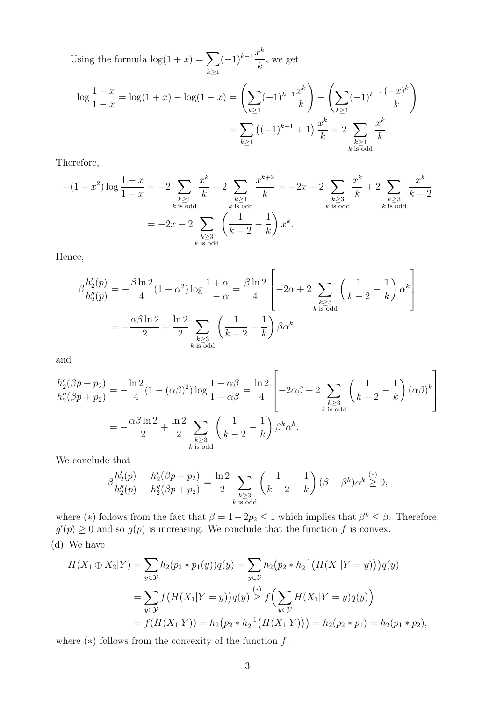Using the formula  $\log(1+x) = \sum$  $k\geq 1$  $(-1)^{k-1}\frac{x^k}{1}$ k , we get

$$
\log \frac{1+x}{1-x} = \log(1+x) - \log(1-x) = \left(\sum_{k\geq 1} (-1)^{k-1} \frac{x^k}{k}\right) - \left(\sum_{k\geq 1} (-1)^{k-1} \frac{(-x)^k}{k}\right)
$$

$$
= \sum_{k\geq 1} \left((-1)^{k-1} + 1\right) \frac{x^k}{k} = 2 \sum_{\substack{k\geq 1\\ k \text{ is odd}}} \frac{x^k}{k}.
$$

Therefore,

$$
-(1-x^2)\log\frac{1+x}{1-x} = -2\sum_{\substack{k\geq 1\\k \text{ is odd}}} \frac{x^k}{k} + 2\sum_{\substack{k\geq 1\\k \text{ is odd}}} \frac{x^{k+2}}{k} = -2x - 2\sum_{\substack{k\geq 3\\k \text{ is odd}}} \frac{x^k}{k} + 2\sum_{\substack{k\geq 3\\k \text{ is odd}}} \frac{x^k}{k-2}
$$

$$
= -2x + 2\sum_{\substack{k\geq 3\\k \text{ is odd}}} \left(\frac{1}{k-2} - \frac{1}{k}\right)x^k.
$$

Hence,

$$
\beta \frac{h_2'(p)}{h_2''(p)} = -\frac{\beta \ln 2}{4} (1 - \alpha^2) \log \frac{1 + \alpha}{1 - \alpha} = \frac{\beta \ln 2}{4} \left[ -2\alpha + 2 \sum_{\substack{k \ge 3 \\ k \text{ is odd}}} \left( \frac{1}{k - 2} - \frac{1}{k} \right) \alpha^k \right]
$$

$$
= -\frac{\alpha \beta \ln 2}{2} + \frac{\ln 2}{2} \sum_{\substack{k \ge 3 \\ k \text{ is odd}}} \left( \frac{1}{k - 2} - \frac{1}{k} \right) \beta \alpha^k,
$$

and

$$
\frac{h'_2(\beta p + p_2)}{h''_2(\beta p + p_2)} = -\frac{\ln 2}{4} (1 - (\alpha \beta)^2) \log \frac{1 + \alpha \beta}{1 - \alpha \beta} = \frac{\ln 2}{4} \left[ -2\alpha\beta + 2 \sum_{\substack{k \ge 3 \\ k \text{ is odd}}} \left( \frac{1}{k - 2} - \frac{1}{k} \right) (\alpha \beta)^k \right]
$$

$$
= -\frac{\alpha \beta \ln 2}{2} + \frac{\ln 2}{2} \sum_{\substack{k \ge 3 \\ k \text{ is odd}}} \left( \frac{1}{k - 2} - \frac{1}{k} \right) \beta^k \alpha^k.
$$

We conclude that

$$
\beta \frac{h_2'(p)}{h_2''(p)} - \frac{h_2'(\beta p + p_2)}{h_2''(\beta p + p_2)} = \frac{\ln 2}{2} \sum_{\substack{k \ge 3 \\ k \text{ is odd}}} \left( \frac{1}{k-2} - \frac{1}{k} \right) (\beta - \beta^k) \alpha^k \stackrel{(*)}{\ge 0},
$$

where (\*) follows from the fact that  $\beta = 1 - 2p_2 \le 1$  which implies that  $\beta^k \le \beta$ . Therefore,  $g'(p) \geq 0$  and so  $g(p)$  is increasing. We conclude that the function f is convex. (d) We have

$$
H(X_1 \oplus X_2 | Y) = \sum_{y \in \mathcal{Y}} h_2(p_2 * p_1(y)) q(y) = \sum_{y \in \mathcal{Y}} h_2(p_2 * h_2^{-1} (H(X_1 | Y = y))) q(y)
$$
  
= 
$$
\sum_{y \in \mathcal{Y}} f(H(X_1 | Y = y)) q(y) \geq f\left(\sum_{y \in \mathcal{Y}} H(X_1 | Y = y) q(y)\right)
$$
  
= 
$$
f(H(X_1 | Y)) = h_2(p_2 * h_2^{-1} (H(X_1 | Y))) = h_2(p_2 * p_1) = h_2(p_1 * p_2),
$$

where  $(*)$  follows from the convexity of the function  $f$ .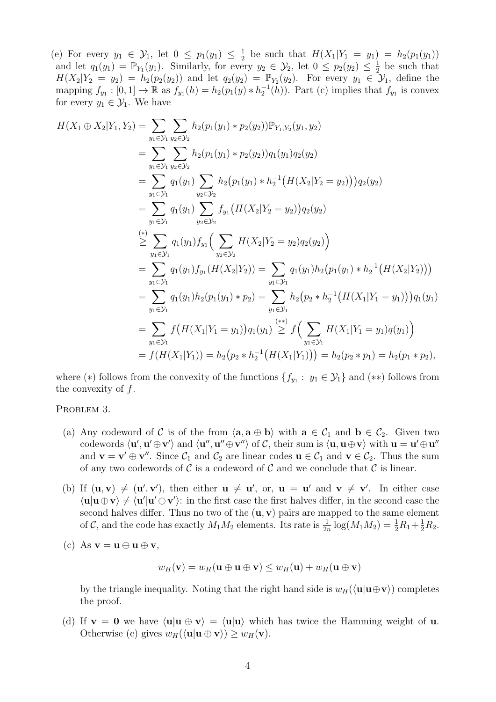(e) For every  $y_1 \in \mathcal{Y}_1$ , let  $0 \leq p_1(y_1) \leq \frac{1}{2}$  $\frac{1}{2}$  be such that  $H(X_1|Y_1 = y_1) = h_2(p_1(y_1))$ and let  $q_1(y_1) = \mathbb{P}_{Y_1}(y_1)$ . Similarly, for every  $y_2 \in \mathcal{Y}_2$ , let  $0 \leq p_2(y_2) \leq \frac{1}{2}$  $\frac{1}{2}$  be such that  $H(X_2|Y_2 = y_2) = h_2(p_2(y_2))$  and let  $q_2(y_2) = \mathbb{P}_{Y_2}(y_2)$ . For every  $y_1 \in \mathcal{Y}_1$ , define the mapping  $f_{y_1} : [0,1] \to \mathbb{R}$  as  $f_{y_1}(h) = h_2(p_1(y) * h_2^{-1}(h))$ . Part (c) implies that  $f_{y_1}$  is convex for every  $y_1 \in \mathcal{Y}_1$ . We have

$$
H(X_1 \oplus X_2 | Y_1, Y_2) = \sum_{y_1 \in \mathcal{Y}_1} \sum_{y_2 \in \mathcal{Y}_2} h_2(p_1(y_1) * p_2(y_2)) \mathbb{P}_{Y_1, Y_2}(y_1, y_2)
$$
  
\n
$$
= \sum_{y_1 \in \mathcal{Y}_1} \sum_{y_2 \in \mathcal{Y}_2} h_2(p_1(y_1) * p_2(y_2)) q_1(y_1) q_2(y_2)
$$
  
\n
$$
= \sum_{y_1 \in \mathcal{Y}_1} q_1(y_1) \sum_{y_2 \in \mathcal{Y}_2} h_2(p_1(y_1) * h_2^{-1}(H(X_2 | Y_2 = y_2))) q_2(y_2)
$$
  
\n
$$
= \sum_{y_1 \in \mathcal{Y}_1} q_1(y_1) \sum_{y_2 \in \mathcal{Y}_2} f_{y_1}(H(X_2 | Y_2 = y_2)) q_2(y_2)
$$
  
\n
$$
\geq \sum_{y_1 \in \mathcal{Y}_1} q_1(y_1) f_{y_1} \Big( \sum_{y_2 \in \mathcal{Y}_2} H(X_2 | Y_2 = y_2) q_2(y_2) \Big)
$$
  
\n
$$
= \sum_{y_1 \in \mathcal{Y}_1} q_1(y_1) f_{y_1}(H(X_2 | Y_2)) = \sum_{y_1 \in \mathcal{Y}_1} q_1(y_1) h_2(p_1(y_1) * h_2^{-1}(H(X_2 | Y_2)))
$$
  
\n
$$
= \sum_{y_1 \in \mathcal{Y}_1} q_1(y_1) h_2(p_1(y_1) * p_2) = \sum_{y_1 \in \mathcal{Y}_1} h_2(p_2 * h_2^{-1}(H(X_1 | Y_1 = y_1))) q_1(y_1)
$$
  
\n
$$
= \sum_{y_1 \in \mathcal{Y}_1} f(H(X_1 | Y_1 = y_1)) q_1(y_1) \geq f(\sum_{y_1 \in \mathcal{Y}_1} H(X_1 | Y_1 = y_1) q(y_1))
$$
  
\n
$$
= f(H(X_1 | Y_1)) = h_2(p_2 * h_2^{-1}(H(X_1 | Y_1))) = h_2(p_2 *
$$

where (\*) follows from the convexity of the functions  $\{f_{y_1} : y_1 \in \mathcal{Y}_1\}$  and (\*\*) follows from the convexity of f.

PROBLEM 3.

- (a) Any codeword of C is of the from  $\langle \mathbf{a}, \mathbf{a} \oplus \mathbf{b} \rangle$  with  $\mathbf{a} \in C_1$  and  $\mathbf{b} \in C_2$ . Given two codewords  $\langle u', u' \oplus v' \rangle$  and  $\langle u'', u'' \oplus v'' \rangle$  of C, their sum is  $\langle u, u \oplus v \rangle$  with  $u = u' \oplus u''$ and  $\mathbf{v} = \mathbf{v}' \oplus \mathbf{v}''$ . Since  $\mathcal{C}_1$  and  $\mathcal{C}_2$  are linear codes  $\mathbf{u} \in \mathcal{C}_1$  and  $\mathbf{v} \in \mathcal{C}_2$ . Thus the sum of any two codewords of C is a codeword of C and we conclude that C is linear.
- (b) If  $(\mathbf{u}, \mathbf{v}) \neq (\mathbf{u}', \mathbf{v}')$ , then either  $\mathbf{u} \neq \mathbf{u}'$ , or,  $\mathbf{u} = \mathbf{u}'$  and  $\mathbf{v} \neq \mathbf{v}'$ . In either case  $\langle u|u \oplus v \rangle \neq \langle u'|u' \oplus v' \rangle$ : in the first case the first halves differ, in the second case the second halves differ. Thus no two of the  $(\mathbf{u}, \mathbf{v})$  pairs are mapped to the same element of C, and the code has exactly  $M_1M_2$  elements. Its rate is  $\frac{1}{2n} \log(M_1M_2) = \frac{1}{2}R_1 + \frac{1}{2}R_2$ .
- (c) As  $\mathbf{v} = \mathbf{u} \oplus \mathbf{u} \oplus \mathbf{v}$ ,

$$
w_H(\mathbf{v}) = w_H(\mathbf{u} \oplus \mathbf{u} \oplus \mathbf{v}) \leq w_H(\mathbf{u}) + w_H(\mathbf{u} \oplus \mathbf{v})
$$

by the triangle inequality. Noting that the right hand side is  $w_H(\langle \mathbf{u} | \mathbf{u} \oplus \mathbf{v} \rangle)$  completes the proof.

(d) If  $v = 0$  we have  $\langle u|u \oplus v \rangle = \langle u|u \rangle$  which has twice the Hamming weight of u. Otherwise (c) gives  $w_H(\langle \mathbf{u} | \mathbf{u} \oplus \mathbf{v} \rangle) \geq w_H(\mathbf{v}).$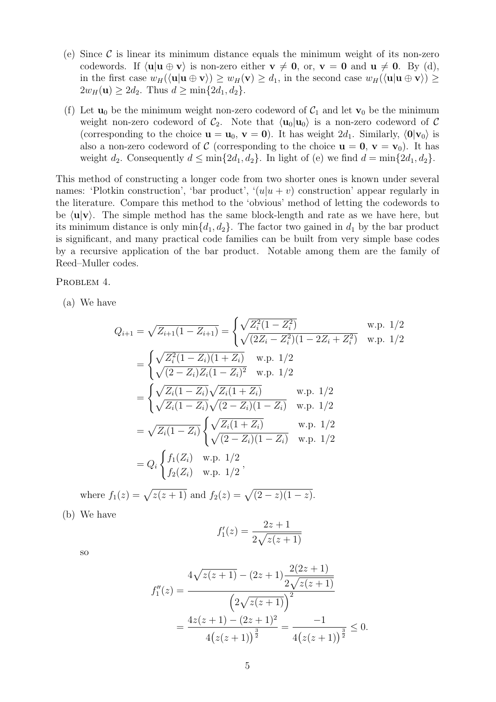- (e) Since  $\mathcal C$  is linear its minimum distance equals the minimum weight of its non-zero codewords. If  $\langle u|u \oplus v \rangle$  is non-zero either  $v \neq 0$ , or,  $v = 0$  and  $u \neq 0$ . By (d), in the first case  $w_H(\langle \mathbf{u} | \mathbf{u} \oplus \mathbf{v} \rangle) \geq w_H(\mathbf{v}) \geq d_1$ , in the second case  $w_H(\langle \mathbf{u} | \mathbf{u} \oplus \mathbf{v} \rangle) \geq$  $2w_H(\mathbf{u}) \geq 2d_2$ . Thus  $d \geq \min\{2d_1, d_2\}$ .
- (f) Let  $\mathbf{u}_0$  be the minimum weight non-zero codeword of  $\mathcal{C}_1$  and let  $\mathbf{v}_0$  be the minimum weight non-zero codeword of  $\mathcal{C}_2$ . Note that  $\langle \mathbf{u}_0 | \mathbf{u}_0 \rangle$  is a non-zero codeword of  $\mathcal{C}$ (corresponding to the choice  $\mathbf{u} = \mathbf{u}_0$ ,  $\mathbf{v} = \mathbf{0}$ ). It has weight  $2d_1$ . Similarly,  $\langle \mathbf{0} | \mathbf{v}_0 \rangle$  is also a non-zero codeword of C (corresponding to the choice  $\mathbf{u} = \mathbf{0}, \mathbf{v} = \mathbf{v}_0$ ). It has weight  $d_2$ . Consequently  $d \le \min\{2d_1, d_2\}$ . In light of (e) we find  $d = \min\{2d_1, d_2\}$ .

This method of constructing a longer code from two shorter ones is known under several names: 'Plotkin construction', 'bar product', ' $(u|u + v)$  construction' appear regularly in the literature. Compare this method to the 'obvious' method of letting the codewords to be  $\langle \mathbf{u} | \mathbf{v} \rangle$ . The simple method has the same block-length and rate as we have here, but its minimum distance is only  $\min\{d_1, d_2\}$ . The factor two gained in  $d_1$  by the bar product is significant, and many practical code families can be built from very simple base codes by a recursive application of the bar product. Notable among them are the family of Reed–Muller codes.

PROBLEM 4.

(a) We have

$$
Q_{i+1} = \sqrt{Z_{i+1}(1 - Z_{i+1})} = \begin{cases} \sqrt{Z_i^2(1 - Z_i^2)} & \text{w.p. } 1/2\\ \sqrt{(2Z_i - Z_i^2)(1 - 2Z_i + Z_i^2)} & \text{w.p. } 1/2 \end{cases}
$$
  
\n
$$
= \begin{cases} \sqrt{Z_i^2(1 - Z_i)(1 + Z_i)} & \text{w.p. } 1/2\\ \sqrt{(2 - Z_i)Z_i(1 - Z_i)^2} & \text{w.p. } 1/2 \end{cases}
$$
  
\n
$$
= \begin{cases} \sqrt{Z_i(1 - Z_i)}\sqrt{Z_i(1 + Z_i)} & \text{w.p. } 1/2\\ \sqrt{Z_i(1 - Z_i)}\sqrt{(2 - Z_i)(1 - Z_i)} & \text{w.p. } 1/2 \end{cases}
$$
  
\n
$$
= \sqrt{Z_i(1 - Z_i)} \begin{cases} \sqrt{Z_i(1 + Z_i)} & \text{w.p. } 1/2\\ \sqrt{(2 - Z_i)(1 - Z_i)} & \text{w.p. } 1/2 \end{cases}
$$
  
\n
$$
= Q_i \begin{cases} f_1(Z_i) & \text{w.p. } 1/2\\ f_2(Z_i) & \text{w.p. } 1/2 \end{cases}
$$

where  $f_1(z) = \sqrt{z(z+1)}$  and  $f_2(z) = \sqrt{(2-z)(1-z)}$ .

(b) We have

$$
f_1'(z) = \frac{2z+1}{2\sqrt{z(z+1)}}
$$

so

$$
f_1''(z) = \frac{4\sqrt{z(z+1)} - (2z+1)\frac{2(2z+1)}{2\sqrt{z(z+1)}}}{\left(2\sqrt{z(z+1)}\right)^2}
$$

$$
= \frac{4z(z+1) - (2z+1)^2}{4(z(z+1))^{\frac{3}{2}}} = \frac{-1}{4(z(z+1))^{\frac{3}{2}}} \le 0.
$$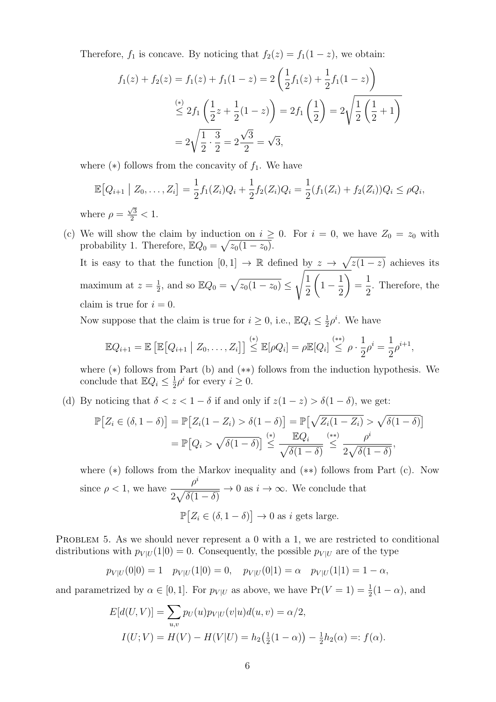Therefore,  $f_1$  is concave. By noticing that  $f_2(z) = f_1(1-z)$ , we obtain:

$$
f_1(z) + f_2(z) = f_1(z) + f_1(1 - z) = 2\left(\frac{1}{2}f_1(z) + \frac{1}{2}f_1(1 - z)\right)
$$
  
\n
$$
\stackrel{(*)}{\leq} 2f_1\left(\frac{1}{2}z + \frac{1}{2}(1 - z)\right) = 2f_1\left(\frac{1}{2}\right) = 2\sqrt{\frac{1}{2}\left(\frac{1}{2} + 1\right)}
$$
  
\n
$$
= 2\sqrt{\frac{1}{2} \cdot \frac{3}{2}} = 2\frac{\sqrt{3}}{2} = \sqrt{3},
$$

where  $(*)$  follows from the concavity of  $f_1$ . We have

$$
\mathbb{E}[Q_{i+1} | Z_0, \dots, Z_i] = \frac{1}{2} f_1(Z_i) Q_i + \frac{1}{2} f_2(Z_i) Q_i = \frac{1}{2} (f_1(Z_i) + f_2(Z_i)) Q_i \le \rho Q_i,
$$
  
where  $\rho = \frac{\sqrt{3}}{2} < 1$ .

(c) We will show the claim by induction on  $i \geq 0$ . For  $i = 0$ , we have  $Z_0 = z_0$  with probability 1. Therefore,  $\mathbb{E}Q_0 = \sqrt{z_0(1-z_0)}$ .

It is easy to that the function  $[0,1] \to \mathbb{R}$  defined by  $z \to \sqrt{z(1-z)}$  achieves its maximum at  $z=\frac{1}{2}$  $\frac{1}{2}$ , and so  $\mathbb{E}Q_0 = \sqrt{z_0(1-z_0)} \leq$  $\sqrt{1}$ 2  $\sqrt{ }$  $1-\frac{1}{2}$ 2  $\setminus$ = 1 2 . Therefore, the claim is true for  $i = 0$ .

Now suppose that the claim is true for  $i \geq 0$ , i.e.,  $\mathbb{E}Q_i \leq \frac{1}{2}$  $\frac{1}{2}\rho^i$ . We have

$$
\mathbb{E}Q_{i+1} = \mathbb{E}\left[\mathbb{E}\left[Q_{i+1} \mid Z_0,\ldots,Z_i\right]\right] \stackrel{(*)}{\leq} \mathbb{E}[\rho Q_i] = \rho \mathbb{E}[Q_i] \stackrel{(**)}{\leq} \rho \cdot \frac{1}{2}\rho^i = \frac{1}{2}\rho^{i+1},
$$

where (∗) follows from Part (b) and (∗∗) follows from the induction hypothesis. We conclude that  $\mathbb{E}Q_i \leq \frac{1}{2}$  $\frac{1}{2}\rho^i$  for every  $i \geq 0$ .

(d) By noticing that  $\delta < z < 1 - \delta$  if and only if  $z(1 - z) > \delta(1 - \delta)$ , we get:

$$
\mathbb{P}\big[Z_i \in (\delta, 1-\delta)\big] = \mathbb{P}\big[Z_i(1-Z_i) > \delta(1-\delta)\big] = \mathbb{P}\big[\sqrt{Z_i(1-Z_i)} > \sqrt{\delta(1-\delta)}\big]
$$
\n
$$
= \mathbb{P}\big[Q_i > \sqrt{\delta(1-\delta)}\big] \stackrel{(*)}{\leq} \frac{\mathbb{E}Q_i}{\sqrt{\delta(1-\delta)}} \stackrel{(**)}{\leq} \frac{\rho^i}{2\sqrt{\delta(1-\delta)}},
$$

where (∗) follows from the Markov inequality and (∗∗) follows from Part (c). Now since  $\rho < 1$ , we have  $\rho^i$  $2\sqrt{\delta(1-\delta)}$  $\rightarrow 0$  as  $i \rightarrow \infty$ . We conclude that  $\mathbb{P}\big[Z_i \in (\delta, 1-\delta)\big] \to 0$  as i gets large.

PROBLEM 5. As we should never represent a 0 with a 1, we are restricted to conditional distributions with  $p_{V|U} (1|0) = 0$ . Consequently, the possible  $p_{V|U}$  are of the type

$$
p_{V|U}(0|0) = 1
$$
  $p_{V|U}(1|0) = 0$ ,  $p_{V|U}(0|1) = \alpha$   $p_{V|U}(1|1) = 1 - \alpha$ ,

and parametrized by  $\alpha \in [0,1]$ . For  $p_{V|U}$  as above, we have  $Pr(V = 1) = \frac{1}{2}(1 - \alpha)$ , and

$$
E[d(U,V)] = \sum_{u,v} p_U(u)p_{V|U}(v|u)d(u,v) = \alpha/2,
$$
  

$$
I(U;V) = H(V) - H(V|U) = h_2(\frac{1}{2}(1-\alpha)) - \frac{1}{2}h_2(\alpha) =: f(\alpha).
$$